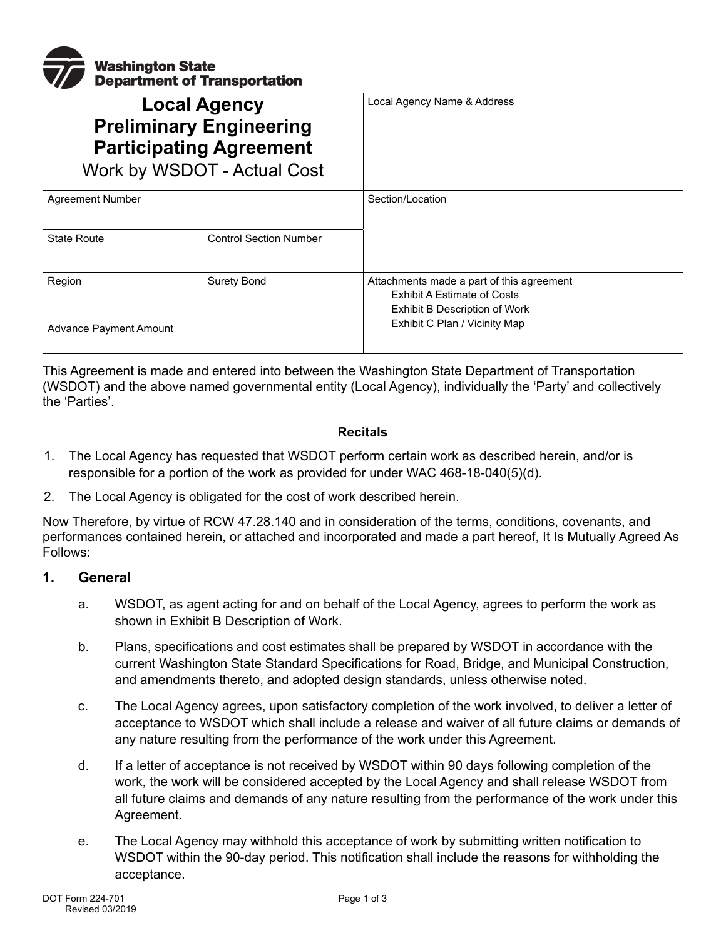

| <b>Local Agency</b><br><b>Preliminary Engineering</b><br><b>Participating Agreement</b><br>Work by WSDOT - Actual Cost |                               | Local Agency Name & Address                                                                                      |
|------------------------------------------------------------------------------------------------------------------------|-------------------------------|------------------------------------------------------------------------------------------------------------------|
| <b>Agreement Number</b>                                                                                                |                               | Section/Location                                                                                                 |
| <b>State Route</b>                                                                                                     | <b>Control Section Number</b> |                                                                                                                  |
| Region                                                                                                                 | <b>Surety Bond</b>            | Attachments made a part of this agreement<br><b>Exhibit A Estimate of Costs</b><br>Exhibit B Description of Work |
| Advance Payment Amount                                                                                                 |                               | Exhibit C Plan / Vicinity Map                                                                                    |

This Agreement is made and entered into between the Washington State Department of Transportation (WSDOT) and the above named governmental entity (Local Agency), individually the 'Party' and collectively the 'Parties'.

#### **Recitals**

- 1. The Local Agency has requested that WSDOT perform certain work as described herein, and/or is responsible for a portion of the work as provided for under WAC 468-18-040(5)(d).
- 2. The Local Agency is obligated for the cost of work described herein.

Now Therefore, by virtue of RCW 47.28.140 and in consideration of the terms, conditions, covenants, and performances contained herein, or attached and incorporated and made a part hereof, It Is Mutually Agreed As Follows:

#### **1. General**

- a. WSDOT, as agent acting for and on behalf of the Local Agency, agrees to perform the work as shown in Exhibit B Description of Work.
- b. Plans, specifications and cost estimates shall be prepared by WSDOT in accordance with the current Washington State Standard Specifications for Road, Bridge, and Municipal Construction, and amendments thereto, and adopted design standards, unless otherwise noted.
- c. The Local Agency agrees, upon satisfactory completion of the work involved, to deliver a letter of acceptance to WSDOT which shall include a release and waiver of all future claims or demands of any nature resulting from the performance of the work under this Agreement.
- d. If a letter of acceptance is not received by WSDOT within 90 days following completion of the work, the work will be considered accepted by the Local Agency and shall release WSDOT from all future claims and demands of any nature resulting from the performance of the work under this Agreement.
- e. The Local Agency may withhold this acceptance of work by submitting written notification to WSDOT within the 90-day period. This notification shall include the reasons for withholding the acceptance.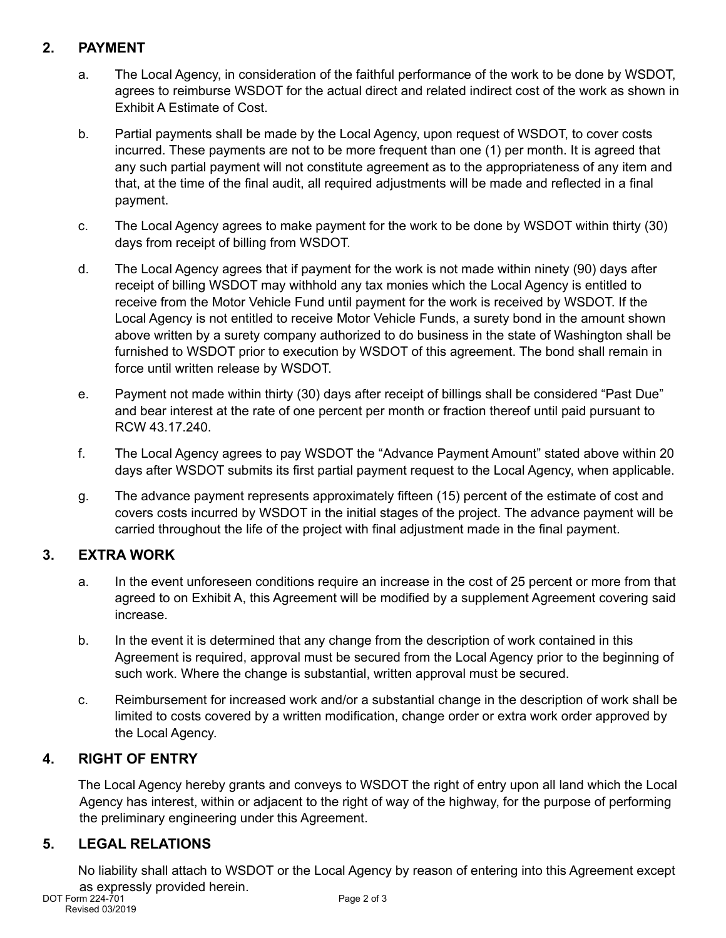# **2. PAYMENT**

- a. The Local Agency, in consideration of the faithful performance of the work to be done by WSDOT, agrees to reimburse WSDOT for the actual direct and related indirect cost of the work as shown in Exhibit A Estimate of Cost.
- b. Partial payments shall be made by the Local Agency, upon request of WSDOT, to cover costs incurred. These payments are not to be more frequent than one (1) per month. It is agreed that any such partial payment will not constitute agreement as to the appropriateness of any item and that, at the time of the final audit, all required adjustments will be made and reflected in a final payment.
- c. The Local Agency agrees to make payment for the work to be done by WSDOT within thirty (30) days from receipt of billing from WSDOT.
- d. The Local Agency agrees that if payment for the work is not made within ninety (90) days after receipt of billing WSDOT may withhold any tax monies which the Local Agency is entitled to receive from the Motor Vehicle Fund until payment for the work is received by WSDOT. If the Local Agency is not entitled to receive Motor Vehicle Funds, a surety bond in the amount shown above written by a surety company authorized to do business in the state of Washington shall be furnished to WSDOT prior to execution by WSDOT of this agreement. The bond shall remain in force until written release by WSDOT.
- e. Payment not made within thirty (30) days after receipt of billings shall be considered "Past Due" and bear interest at the rate of one percent per month or fraction thereof until paid pursuant to RCW 43.17.240.
- f. The Local Agency agrees to pay WSDOT the "Advance Payment Amount" stated above within 20 days after WSDOT submits its first partial payment request to the Local Agency, when applicable.
- g. The advance payment represents approximately fifteen (15) percent of the estimate of cost and covers costs incurred by WSDOT in the initial stages of the project. The advance payment will be carried throughout the life of the project with final adjustment made in the final payment.

## **3. EXTRA WORK**

- a. In the event unforeseen conditions require an increase in the cost of 25 percent or more from that agreed to on Exhibit A, this Agreement will be modified by a supplement Agreement covering said increase.
- b. In the event it is determined that any change from the description of work contained in this Agreement is required, approval must be secured from the Local Agency prior to the beginning of such work. Where the change is substantial, written approval must be secured.
- c. Reimbursement for increased work and/or a substantial change in the description of work shall be limited to costs covered by a written modification, change order or extra work order approved by the Local Agency.

## **4. RIGHT OF ENTRY**

The Local Agency hereby grants and conveys to WSDOT the right of entry upon all land which the Local Agency has interest, within or adjacent to the right of way of the highway, for the purpose of performing the preliminary engineering under this Agreement.

## **5. LEGAL RELATIONS**

No liability shall attach to WSDOT or the Local Agency by reason of entering into this Agreement except as expressly provided herein.